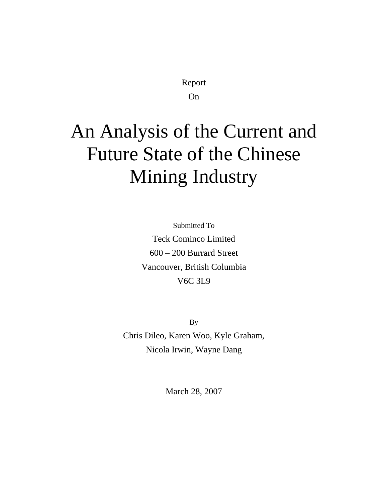Report

On

# An Analysis of the Current and Future State of the Chinese Mining Industry

Submitted To Teck Cominco Limited 600 – 200 Burrard Street Vancouver, British Columbia V6C 3L9

By Chris Dileo, Karen Woo, Kyle Graham, Nicola Irwin, Wayne Dang

March 28, 2007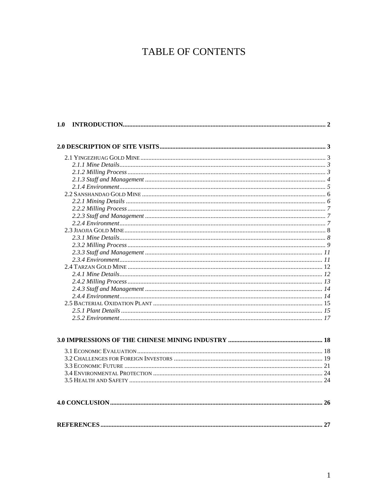## TABLE OF CONTENTS

| 1.0 |  |
|-----|--|
|     |  |
|     |  |
|     |  |
|     |  |
|     |  |
|     |  |
|     |  |
|     |  |
|     |  |
|     |  |
|     |  |
|     |  |
|     |  |
|     |  |
|     |  |
|     |  |
|     |  |
|     |  |
|     |  |
|     |  |
|     |  |
|     |  |
|     |  |
|     |  |
|     |  |
|     |  |
|     |  |
|     |  |
|     |  |
|     |  |
|     |  |
|     |  |
|     |  |
|     |  |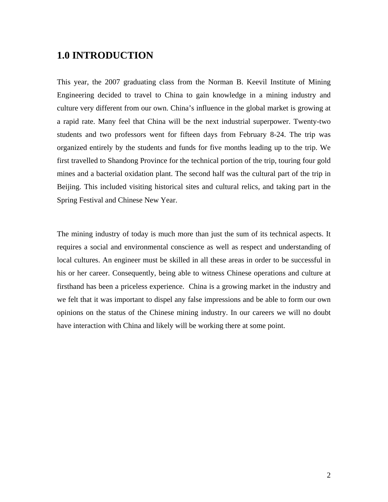## <span id="page-2-0"></span>**1.0 INTRODUCTION**

This year, the 2007 graduating class from the Norman B. Keevil Institute of Mining Engineering decided to travel to China to gain knowledge in a mining industry and culture very different from our own. China's influence in the global market is growing at a rapid rate. Many feel that China will be the next industrial superpower. Twenty-two students and two professors went for fifteen days from February 8-24. The trip was organized entirely by the students and funds for five months leading up to the trip. We first travelled to Shandong Province for the technical portion of the trip, touring four gold mines and a bacterial oxidation plant. The second half was the cultural part of the trip in Beijing. This included visiting historical sites and cultural relics, and taking part in the Spring Festival and Chinese New Year.

The mining industry of today is much more than just the sum of its technical aspects. It requires a social and environmental conscience as well as respect and understanding of local cultures. An engineer must be skilled in all these areas in order to be successful in his or her career. Consequently, being able to witness Chinese operations and culture at firsthand has been a priceless experience. China is a growing market in the industry and we felt that it was important to dispel any false impressions and be able to form our own opinions on the status of the Chinese mining industry. In our careers we will no doubt have interaction with China and likely will be working there at some point.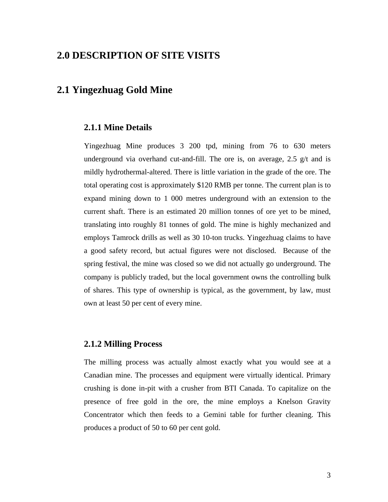## <span id="page-3-0"></span>**2.0 DESCRIPTION OF SITE VISITS**

## **2.1 Yingezhuag Gold Mine**

#### **2.1.1 Mine Details**

Yingezhuag Mine produces 3 200 tpd, mining from 76 to 630 meters underground via overhand cut-and-fill. The ore is, on average, 2.5  $g/t$  and is mildly hydrothermal-altered. There is little variation in the grade of the ore. The total operating cost is approximately \$120 RMB per tonne. The current plan is to expand mining down to 1 000 metres underground with an extension to the current shaft. There is an estimated 20 million tonnes of ore yet to be mined, translating into roughly 81 tonnes of gold. The mine is highly mechanized and employs Tamrock drills as well as 30 10-ton trucks. Yingezhuag claims to have a good safety record, but actual figures were not disclosed. Because of the spring festival, the mine was closed so we did not actually go underground. The company is publicly traded, but the local government owns the controlling bulk of shares. This type of ownership is typical, as the government, by law, must own at least 50 per cent of every mine.

#### **2.1.2 Milling Process**

The milling process was actually almost exactly what you would see at a Canadian mine. The processes and equipment were virtually identical. Primary crushing is done in-pit with a crusher from BTI Canada. To capitalize on the presence of free gold in the ore, the mine employs a Knelson Gravity Concentrator which then feeds to a Gemini table for further cleaning. This produces a product of 50 to 60 per cent gold.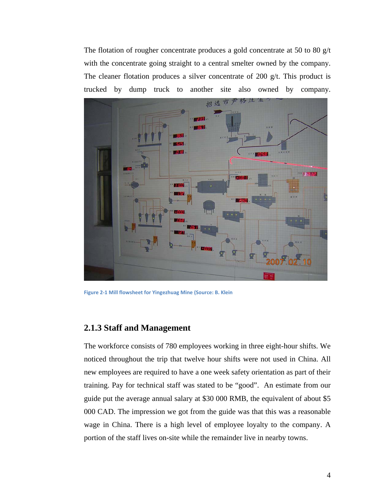<span id="page-4-0"></span>The flotation of rougher concentrate produces a gold concentrate at 50 to 80 g/t with the concentrate going straight to a central smelter owned by the company. The cleaner flotation produces a silver concentrate of 200 g/t. This product is trucked by dump truck to another site also owned by company.



**Figure 2‐1 Mill flowsheet for Yingezhuag Mine (Source: B. Klein**

#### **2.1.3 Staff and Management**

The workforce consists of 780 employees working in three eight-hour shifts. We noticed throughout the trip that twelve hour shifts were not used in China. All new employees are required to have a one week safety orientation as part of their training. Pay for technical staff was stated to be "good". An estimate from our guide put the average annual salary at \$30 000 RMB, the equivalent of about \$5 000 CAD. The impression we got from the guide was that this was a reasonable wage in China. There is a high level of employee loyalty to the company. A portion of the staff lives on-site while the remainder live in nearby towns.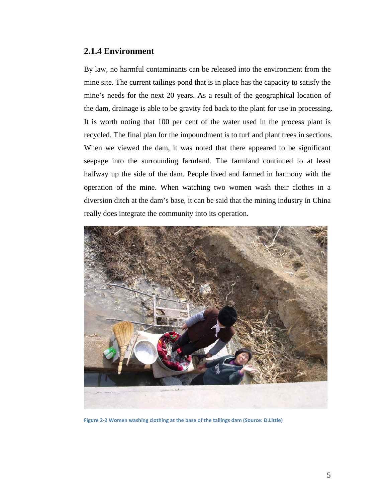#### <span id="page-5-0"></span>**2.1.4 Environment**

By law, no harmful contaminants can be released into the environment from the mine site. The current tailings pond that is in place has the capacity to satisfy the mine's needs for the next 20 years. As a result of the geographical location of the dam, drainage is able to be gravity fed back to the plant for use in processing. It is worth noting that 100 per cent of the water used in the process plant is recycled. The final plan for the impoundment is to turf and plant trees in sections. When we viewed the dam, it was noted that there appeared to be significant seepage into the surrounding farmland. The farmland continued to at least halfway up the side of the dam. People lived and farmed in harmony with the operation of the mine. When watching two women wash their clothes in a diversion ditch at the dam's base, it can be said that the mining industry in China really does integrate the community into its operation.



**Figure 2‐2 Women washing clothing at the base of the tailings dam (Source: D.Little)**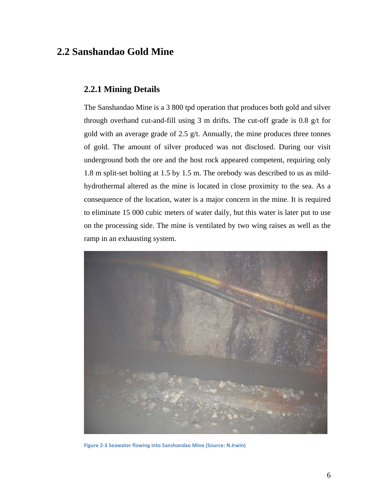## <span id="page-6-0"></span>**2.2 Sanshandao Gold Mine**

#### **2.2.1 Mining Details**

The Sanshandao Mine is a 3 800 tpd operation that produces both gold and silver through overhand cut-and-fill using 3 m drifts. The cut-off grade is 0.8 g/t for gold with an average grade of 2.5  $g/t$ . Annually, the mine produces three tonnes of gold. The amount of silver produced was not disclosed. During our visit underground both the ore and the host rock appeared competent, requiring only 1.8 m split-set bolting at 1.5 by 1.5 m. The orebody was described to us as mildhydrothermal altered as the mine is located in close proximity to the sea. As a consequence of the location, water is a major concern in the mine. It is required to eliminate 15 000 cubic meters of water daily, but this water is later put to use on the processing side. The mine is ventilated by two wing raises as well as the ramp in an exhausting system.



**Figure 2‐3 Seawater flowing into Sanshandao Mine (Source: N.Irwin)**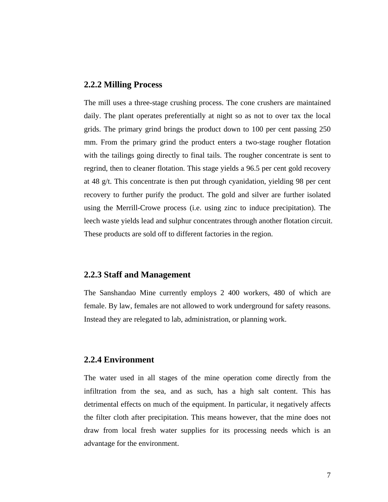#### <span id="page-7-0"></span>**2.2.2 Milling Process**

The mill uses a three-stage crushing process. The cone crushers are maintained daily. The plant operates preferentially at night so as not to over tax the local grids. The primary grind brings the product down to 100 per cent passing 250 mm. From the primary grind the product enters a two-stage rougher flotation with the tailings going directly to final tails. The rougher concentrate is sent to regrind, then to cleaner flotation. This stage yields a 96.5 per cent gold recovery at 48  $g/t$ . This concentrate is then put through cyanidation, yielding 98 per cent recovery to further purify the product. The gold and silver are further isolated using the Merrill-Crowe process (i.e. using zinc to induce precipitation). The leech waste yields lead and sulphur concentrates through another flotation circuit. These products are sold off to different factories in the region.

#### **2.2.3 Staff and Management**

The Sanshandao Mine currently employs 2 400 workers, 480 of which are female. By law, females are not allowed to work underground for safety reasons. Instead they are relegated to lab, administration, or planning work.

#### **2.2.4 Environment**

The water used in all stages of the mine operation come directly from the infiltration from the sea, and as such, has a high salt content. This has detrimental effects on much of the equipment. In particular, it negatively affects the filter cloth after precipitation. This means however, that the mine does not draw from local fresh water supplies for its processing needs which is an advantage for the environment.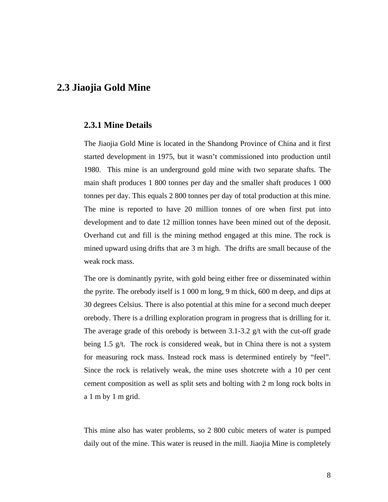## <span id="page-8-0"></span>**2.3 Jiaojia Gold Mine**

#### **2.3.1 Mine Details**

The Jiaojia Gold Mine is located in the Shandong Province of China and it first started development in 1975, but it wasn't commissioned into production until 1980. This mine is an underground gold mine with two separate shafts. The main shaft produces 1 800 tonnes per day and the smaller shaft produces 1 000 tonnes per day. This equals 2 800 tonnes per day of total production at this mine. The mine is reported to have 20 million tonnes of ore when first put into development and to date 12 million tonnes have been mined out of the deposit. Overhand cut and fill is the mining method engaged at this mine. The rock is mined upward using drifts that are 3 m high. The drifts are small because of the weak rock mass.

The ore is dominantly pyrite, with gold being either free or disseminated within the pyrite. The orebody itself is 1 000 m long, 9 m thick, 600 m deep, and dips at 30 degrees Celsius. There is also potential at this mine for a second much deeper orebody. There is a drilling exploration program in progress that is drilling for it. The average grade of this orebody is between 3.1-3.2 g/t with the cut-off grade being 1.5 g/t. The rock is considered weak, but in China there is not a system for measuring rock mass. Instead rock mass is determined entirely by "feel". Since the rock is relatively weak, the mine uses shotcrete with a 10 per cent cement composition as well as split sets and bolting with 2 m long rock bolts in a 1 m by 1 m grid.

This mine also has water problems, so 2 800 cubic meters of water is pumped daily out of the mine. This water is reused in the mill. Jiaojia Mine is completely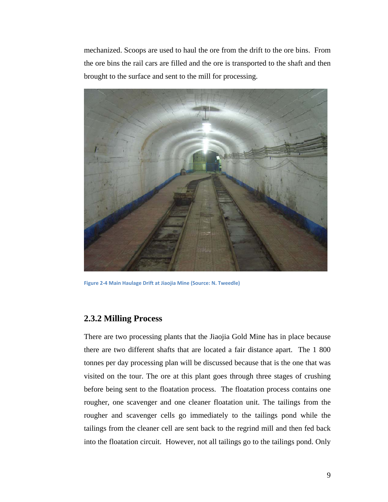<span id="page-9-0"></span>mechanized. Scoops are used to haul the ore from the drift to the ore bins. From the ore bins the rail cars are filled and the ore is transported to the shaft and then brought to the surface and sent to the mill for processing.



**Figure 2‐4 Main Haulage Drift at Jiaojia Mine (Source: N. Tweedle)**

#### **2.3.2 Milling Process**

There are two processing plants that the Jiaojia Gold Mine has in place because there are two different shafts that are located a fair distance apart. The 1 800 tonnes per day processing plan will be discussed because that is the one that was visited on the tour. The ore at this plant goes through three stages of crushing before being sent to the floatation process. The floatation process contains one rougher, one scavenger and one cleaner floatation unit. The tailings from the rougher and scavenger cells go immediately to the tailings pond while the tailings from the cleaner cell are sent back to the regrind mill and then fed back into the floatation circuit. However, not all tailings go to the tailings pond. Only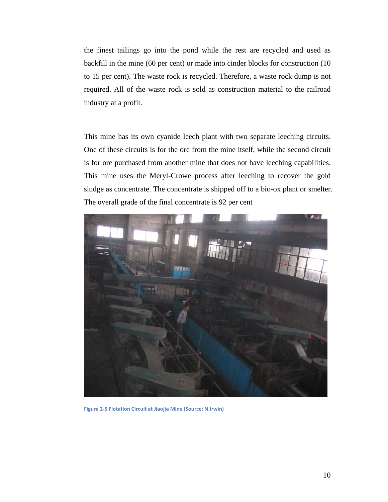the finest tailings go into the pond while the rest are recycled and used as backfill in the mine (60 per cent) or made into cinder blocks for construction (10 to 15 per cent). The waste rock is recycled. Therefore, a waste rock dump is not required. All of the waste rock is sold as construction material to the railroad industry at a profit.

This mine has its own cyanide leech plant with two separate leeching circuits. One of these circuits is for the ore from the mine itself, while the second circuit is for ore purchased from another mine that does not have leeching capabilities. This mine uses the Meryl-Crowe process after leeching to recover the gold sludge as concentrate. The concentrate is shipped off to a bio-ox plant or smelter. The overall grade of the final concentrate is 92 per cent



**Figure 2‐5 Flotation Circuit at Jiaojia Mine (Source: N.Irwin)**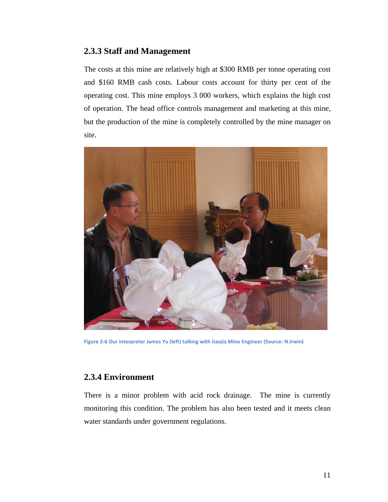### <span id="page-11-0"></span>**2.3.3 Staff and Management**

The costs at this mine are relatively high at \$300 RMB per tonne operating cost and \$160 RMB cash costs. Labour costs account for thirty per cent of the operating cost. This mine employs 3 000 workers, which explains the high cost of operation. The head office controls management and marketing at this mine, but the production of the mine is completely controlled by the mine manager on site.



**Figure 2‐6 Our interpreter James Yu (left) talking with Jiaojia Mine Engineer (Source: N.Irwin)**

#### **2.3.4 Environment**

There is a minor problem with acid rock drainage. The mine is currently monitoring this condition. The problem has also been tested and it meets clean water standards under government regulations.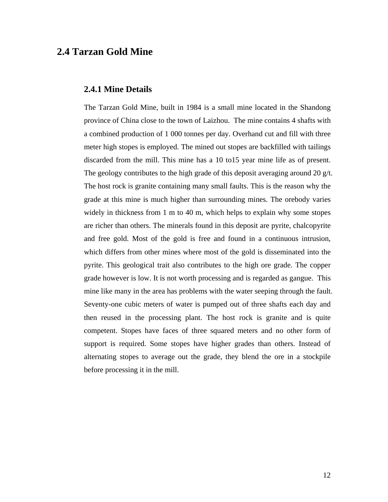## <span id="page-12-0"></span>**2.4 Tarzan Gold Mine**

#### **2.4.1 Mine Details**

The Tarzan Gold Mine, built in 1984 is a small mine located in the Shandong province of China close to the town of Laizhou. The mine contains 4 shafts with a combined production of 1 000 tonnes per day. Overhand cut and fill with three meter high stopes is employed. The mined out stopes are backfilled with tailings discarded from the mill. This mine has a 10 to15 year mine life as of present. The geology contributes to the high grade of this deposit averaging around 20  $g/t$ . The host rock is granite containing many small faults. This is the reason why the grade at this mine is much higher than surrounding mines. The orebody varies widely in thickness from 1 m to 40 m, which helps to explain why some stopes are richer than others. The minerals found in this deposit are pyrite, chalcopyrite and free gold. Most of the gold is free and found in a continuous intrusion, which differs from other mines where most of the gold is disseminated into the pyrite. This geological trait also contributes to the high ore grade. The copper grade however is low. It is not worth processing and is regarded as gangue. This mine like many in the area has problems with the water seeping through the fault. Seventy-one cubic meters of water is pumped out of three shafts each day and then reused in the processing plant. The host rock is granite and is quite competent. Stopes have faces of three squared meters and no other form of support is required. Some stopes have higher grades than others. Instead of alternating stopes to average out the grade, they blend the ore in a stockpile before processing it in the mill.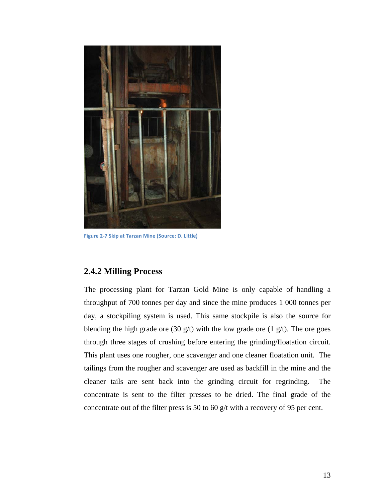<span id="page-13-0"></span>

**Figure 2‐7 Skip at Tarzan Mine (Source: D. Little)**

### **2.4.2 Milling Process**

The processing plant for Tarzan Gold Mine is only capable of handling a throughput of 700 tonnes per day and since the mine produces 1 000 tonnes per day, a stockpiling system is used. This same stockpile is also the source for blending the high grade ore (30 g/t) with the low grade ore (1 g/t). The ore goes through three stages of crushing before entering the grinding/floatation circuit. This plant uses one rougher, one scavenger and one cleaner floatation unit. The tailings from the rougher and scavenger are used as backfill in the mine and the cleaner tails are sent back into the grinding circuit for regrinding. The concentrate is sent to the filter presses to be dried. The final grade of the concentrate out of the filter press is 50 to 60 g/t with a recovery of 95 per cent.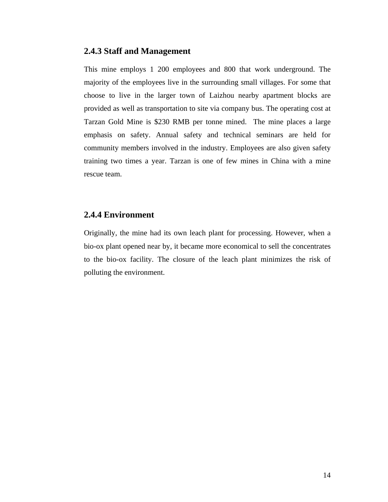#### <span id="page-14-0"></span>**2.4.3 Staff and Management**

This mine employs 1 200 employees and 800 that work underground. The majority of the employees live in the surrounding small villages. For some that choose to live in the larger town of Laizhou nearby apartment blocks are provided as well as transportation to site via company bus. The operating cost at Tarzan Gold Mine is \$230 RMB per tonne mined. The mine places a large emphasis on safety. Annual safety and technical seminars are held for community members involved in the industry. Employees are also given safety training two times a year. Tarzan is one of few mines in China with a mine rescue team.

#### **2.4.4 Environment**

Originally, the mine had its own leach plant for processing. However, when a bio-ox plant opened near by, it became more economical to sell the concentrates to the bio-ox facility. The closure of the leach plant minimizes the risk of polluting the environment.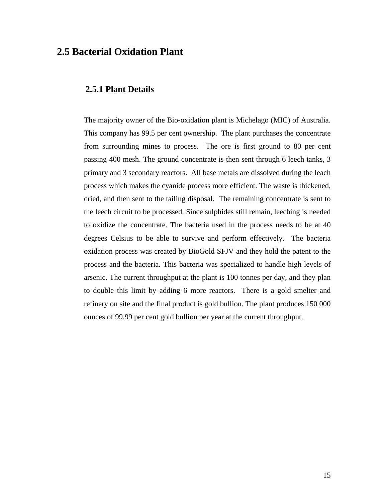## <span id="page-15-0"></span>**2.5 Bacterial Oxidation Plant**

#### **2.5.1 Plant Details**

The majority owner of the Bio-oxidation plant is Michelago (MIC) of Australia. This company has 99.5 per cent ownership. The plant purchases the concentrate from surrounding mines to process. The ore is first ground to 80 per cent passing 400 mesh. The ground concentrate is then sent through 6 leech tanks, 3 primary and 3 secondary reactors. All base metals are dissolved during the leach process which makes the cyanide process more efficient. The waste is thickened, dried, and then sent to the tailing disposal. The remaining concentrate is sent to the leech circuit to be processed. Since sulphides still remain, leeching is needed to oxidize the concentrate. The bacteria used in the process needs to be at 40 degrees Celsius to be able to survive and perform effectively. The bacteria oxidation process was created by BioGold SFJV and they hold the patent to the process and the bacteria. This bacteria was specialized to handle high levels of arsenic. The current throughput at the plant is 100 tonnes per day, and they plan to double this limit by adding 6 more reactors. There is a gold smelter and refinery on site and the final product is gold bullion. The plant produces 150 000 ounces of 99.99 per cent gold bullion per year at the current throughput.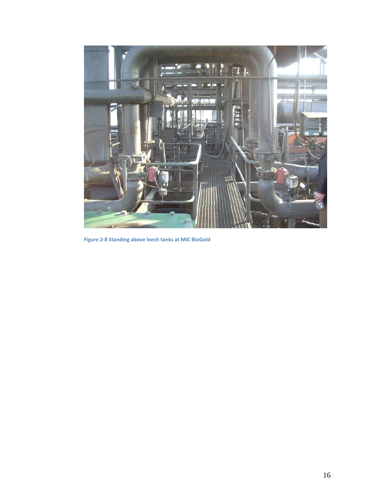

**Figure 2‐8 Standing above leech tanks at MIC BioGold**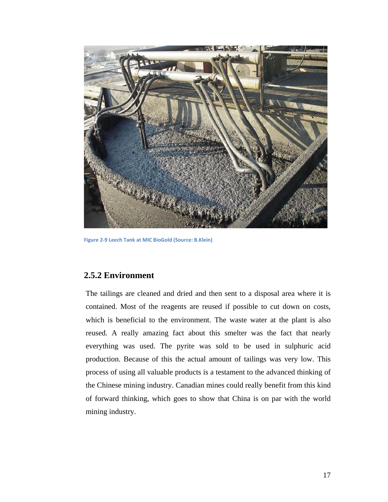<span id="page-17-0"></span>

**Figure 2‐9 Leech Tank at MIC BioGold (Source: B.Klein)**

#### **2.5.2 Environment**

The tailings are cleaned and dried and then sent to a disposal area where it is contained. Most of the reagents are reused if possible to cut down on costs, which is beneficial to the environment. The waste water at the plant is also reused. A really amazing fact about this smelter was the fact that nearly everything was used. The pyrite was sold to be used in sulphuric acid production. Because of this the actual amount of tailings was very low. This process of using all valuable products is a testament to the advanced thinking of the Chinese mining industry. Canadian mines could really benefit from this kind of forward thinking, which goes to show that China is on par with the world mining industry.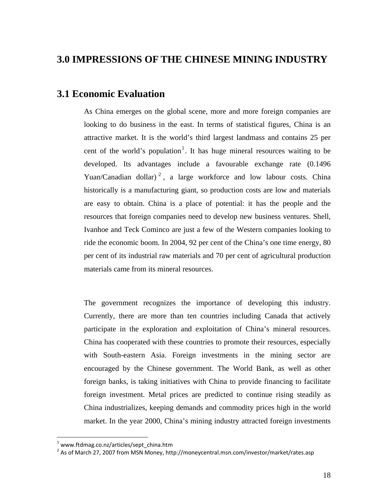## <span id="page-18-0"></span>**3.0 IMPRESSIONS OF THE CHINESE MINING INDUSTRY**

## **3.1 Economic Evaluation**

As China emerges on the global scene, more and more foreign companies are looking to do business in the east. In terms of statistical figures, China is an attractive market. It is the world's third largest landmass and contains 25 per cent of the world's population<sup>[1](#page-18-1)</sup>. It has huge mineral resources waiting to be developed. Its advantages include a favourable exchange rate (0.1496 Yuan/Canadian dollar)<sup>[2](#page-18-2)</sup>, a large workforce and low labour costs. China historically is a manufacturing giant, so production costs are low and materials are easy to obtain. China is a place of potential: it has the people and the resources that foreign companies need to develop new business ventures. Shell, Ivanhoe and Teck Cominco are just a few of the Western companies looking to ride the economic boom. In 2004, 92 per cent of the China's one time energy, 80 per cent of its industrial raw materials and 70 per cent of agricultural production materials came from its mineral resources.

The government recognizes the importance of developing this industry. Currently, there are more than ten countries including Canada that actively participate in the exploration and exploitation of China's mineral resources. China has cooperated with these countries to promote their resources, especially with South-eastern Asia. Foreign investments in the mining sector are encouraged by the Chinese government. The World Bank, as well as other foreign banks, is taking initiatives with China to provide financing to facilitate foreign investment. Metal prices are predicted to continue rising steadily as China industrializes, keeping demands and commodity prices high in the world market. In the year 2000, China's mining industry attracted foreign investments

 $\overline{a}$ 

 $1$  www.ftdmag.co.nz/articles/sept\_china.htm

<span id="page-18-2"></span><span id="page-18-1"></span><sup>&</sup>lt;sup>2</sup> As of March 27, 2007 from MSN Money, http://moneycentral.msn.com/investor/market/rates.asp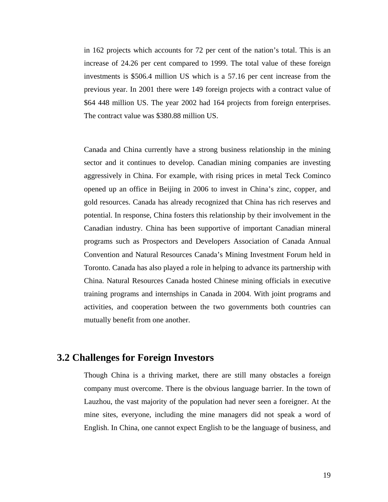<span id="page-19-0"></span>in 162 projects which accounts for 72 per cent of the nation's total. This is an increase of 24.26 per cent compared to 1999. The total value of these foreign investments is \$506.4 million US which is a 57.16 per cent increase from the previous year. In 2001 there were 149 foreign projects with a contract value of \$64 448 million US. The year 2002 had 164 projects from foreign enterprises. The contract value was \$380.88 million US.

Canada and China currently have a strong business relationship in the mining sector and it continues to develop. Canadian mining companies are investing aggressively in China. For example, with rising prices in metal Teck Cominco opened up an office in Beijing in 2006 to invest in China's zinc, copper, and gold resources. Canada has already recognized that China has rich reserves and potential. In response, China fosters this relationship by their involvement in the Canadian industry. China has been supportive of important Canadian mineral programs such as Prospectors and Developers Association of Canada Annual Convention and Natural Resources Canada's Mining Investment Forum held in Toronto. Canada has also played a role in helping to advance its partnership with China. Natural Resources Canada hosted Chinese mining officials in executive training programs and internships in Canada in 2004. With joint programs and activities, and cooperation between the two governments both countries can mutually benefit from one another.

## **3.2 Challenges for Foreign Investors**

Though China is a thriving market, there are still many obstacles a foreign company must overcome. There is the obvious language barrier. In the town of Lauzhou, the vast majority of the population had never seen a foreigner. At the mine sites, everyone, including the mine managers did not speak a word of English. In China, one cannot expect English to be the language of business, and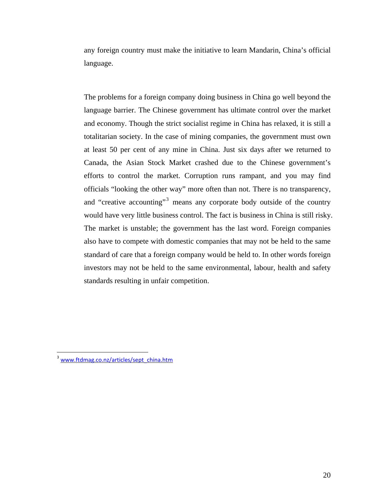any foreign country must make the initiative to learn Mandarin, China's official language.

The problems for a foreign company doing business in China go well beyond the language barrier. The Chinese government has ultimate control over the market and economy. Though the strict socialist regime in China has relaxed, it is still a totalitarian society. In the case of mining companies, the government must own at least 50 per cent of any mine in China. Just six days after we returned to Canada, the Asian Stock Market crashed due to the Chinese government's efforts to control the market. Corruption runs rampant, and you may find officials "looking the other way" more often than not. There is no transparency, and "creative accounting"<sup>[3](#page-20-0)</sup> means any corporate body outside of the country would have very little business control. The fact is business in China is still risky. The market is unstable; the government has the last word. Foreign companies also have to compete with domestic companies that may not be held to the same standard of care that a foreign company would be held to. In other words foreign investors may not be held to the same environmental, labour, health and safety standards resulting in unfair competition.

 $\overline{a}$ 

<span id="page-20-0"></span><sup>&</sup>lt;sup>3</sup> [www.ftdmag.co.nz/articles/sept\\_china.htm](http://www.ftdmag.co.nz/articles/sept_china.htm)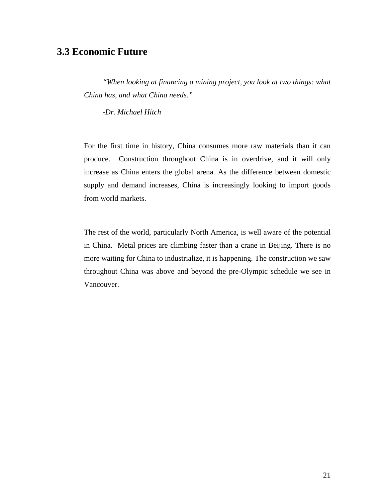## <span id="page-21-0"></span>**3.3 Economic Future**

*"When looking at financing a mining project, you look at two things: what China has, and what China needs."* 

 *-Dr. Michael Hitch* 

For the first time in history, China consumes more raw materials than it can produce. Construction throughout China is in overdrive, and it will only increase as China enters the global arena. As the difference between domestic supply and demand increases, China is increasingly looking to import goods from world markets.

The rest of the world, particularly North America, is well aware of the potential in China. Metal prices are climbing faster than a crane in Beijing. There is no more waiting for China to industrialize, it is happening. The construction we saw throughout China was above and beyond the pre-Olympic schedule we see in Vancouver.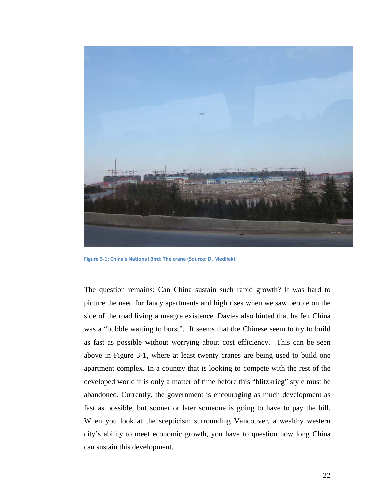

**Figure 3‐1: China's National Bird: The crane (Source: D. Medilek)**

The question remains: Can China sustain such rapid growth? It was hard to picture the need for fancy apartments and high rises when we saw people on the side of the road living a meagre existence. Davies also hinted that he felt China was a "bubble waiting to burst". It seems that the Chinese seem to try to build as fast as possible without worrying about cost efficiency. This can be seen above in Figure 3-1, where at least twenty cranes are being used to build one apartment complex. In a country that is looking to compete with the rest of the developed world it is only a matter of time before this "blitzkrieg" style must be abandoned. Currently, the government is encouraging as much development as fast as possible, but sooner or later someone is going to have to pay the bill. When you look at the scepticism surrounding Vancouver, a wealthy western city's ability to meet economic growth, you have to question how long China can sustain this development.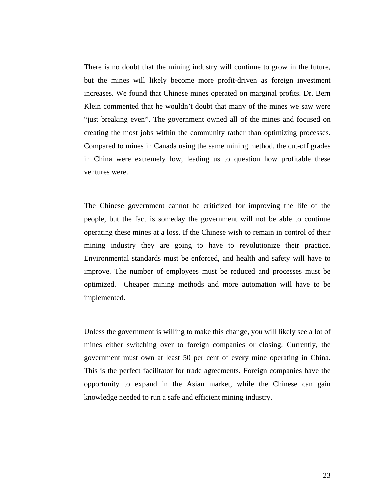There is no doubt that the mining industry will continue to grow in the future, but the mines will likely become more profit-driven as foreign investment increases. We found that Chinese mines operated on marginal profits. Dr. Bern Klein commented that he wouldn't doubt that many of the mines we saw were "just breaking even". The government owned all of the mines and focused on creating the most jobs within the community rather than optimizing processes. Compared to mines in Canada using the same mining method, the cut-off grades in China were extremely low, leading us to question how profitable these ventures were.

The Chinese government cannot be criticized for improving the life of the people, but the fact is someday the government will not be able to continue operating these mines at a loss. If the Chinese wish to remain in control of their mining industry they are going to have to revolutionize their practice. Environmental standards must be enforced, and health and safety will have to improve. The number of employees must be reduced and processes must be optimized. Cheaper mining methods and more automation will have to be implemented.

Unless the government is willing to make this change, you will likely see a lot of mines either switching over to foreign companies or closing. Currently, the government must own at least 50 per cent of every mine operating in China. This is the perfect facilitator for trade agreements. Foreign companies have the opportunity to expand in the Asian market, while the Chinese can gain knowledge needed to run a safe and efficient mining industry.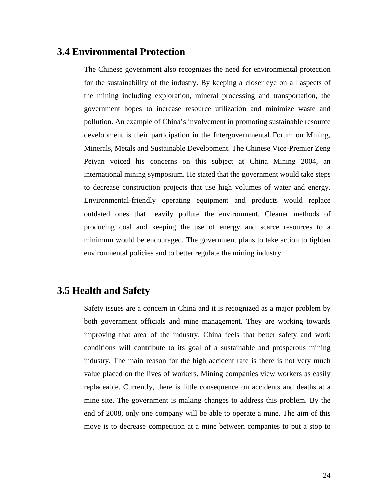## <span id="page-24-0"></span>**3.4 Environmental Protection**

The Chinese government also recognizes the need for environmental protection for the sustainability of the industry. By keeping a closer eye on all aspects of the mining including exploration, mineral processing and transportation, the government hopes to increase resource utilization and minimize waste and pollution. An example of China's involvement in promoting sustainable resource development is their participation in the Intergovernmental Forum on Mining, Minerals, Metals and Sustainable Development. The Chinese Vice-Premier Zeng Peiyan voiced his concerns on this subject at China Mining 2004, an international mining symposium. He stated that the government would take steps to decrease construction projects that use high volumes of water and energy. Environmental-friendly operating equipment and products would replace outdated ones that heavily pollute the environment. Cleaner methods of producing coal and keeping the use of energy and scarce resources to a minimum would be encouraged. The government plans to take action to tighten environmental policies and to better regulate the mining industry.

## **3.5 Health and Safety**

Safety issues are a concern in China and it is recognized as a major problem by both government officials and mine management. They are working towards improving that area of the industry. China feels that better safety and work conditions will contribute to its goal of a sustainable and prosperous mining industry. The main reason for the high accident rate is there is not very much value placed on the lives of workers. Mining companies view workers as easily replaceable. Currently, there is little consequence on accidents and deaths at a mine site. The government is making changes to address this problem. By the end of 2008, only one company will be able to operate a mine. The aim of this move is to decrease competition at a mine between companies to put a stop to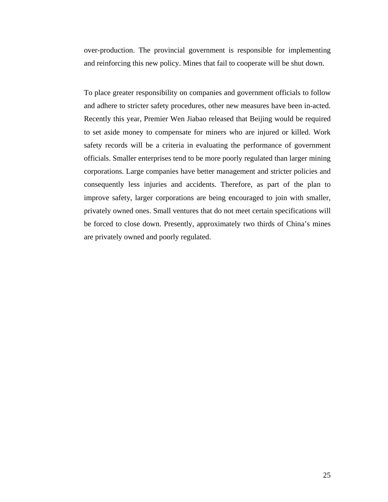over-production. The provincial government is responsible for implementing and reinforcing this new policy. Mines that fail to cooperate will be shut down.

To place greater responsibility on companies and government officials to follow and adhere to stricter safety procedures, other new measures have been in-acted. Recently this year, Premier Wen Jiabao released that Beijing would be required to set aside money to compensate for miners who are injured or killed. Work safety records will be a criteria in evaluating the performance of government officials. Smaller enterprises tend to be more poorly regulated than larger mining corporations. Large companies have better management and stricter policies and consequently less injuries and accidents. Therefore, as part of the plan to improve safety, larger corporations are being encouraged to join with smaller, privately owned ones. Small ventures that do not meet certain specifications will be forced to close down. Presently, approximately two thirds of China's mines are privately owned and poorly regulated.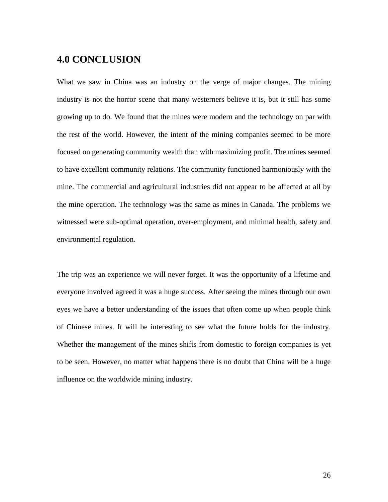## <span id="page-26-0"></span>**4.0 CONCLUSION**

What we saw in China was an industry on the verge of major changes. The mining industry is not the horror scene that many westerners believe it is, but it still has some growing up to do. We found that the mines were modern and the technology on par with the rest of the world. However, the intent of the mining companies seemed to be more focused on generating community wealth than with maximizing profit. The mines seemed to have excellent community relations. The community functioned harmoniously with the mine. The commercial and agricultural industries did not appear to be affected at all by the mine operation. The technology was the same as mines in Canada. The problems we witnessed were sub-optimal operation, over-employment, and minimal health, safety and environmental regulation.

The trip was an experience we will never forget. It was the opportunity of a lifetime and everyone involved agreed it was a huge success. After seeing the mines through our own eyes we have a better understanding of the issues that often come up when people think of Chinese mines. It will be interesting to see what the future holds for the industry. Whether the management of the mines shifts from domestic to foreign companies is yet to be seen. However, no matter what happens there is no doubt that China will be a huge influence on the worldwide mining industry.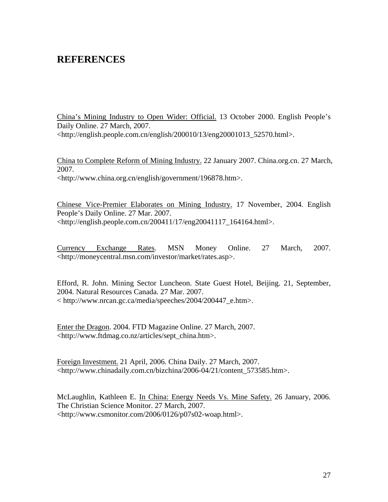## <span id="page-27-0"></span>**REFERENCES**

China's Mining Industry to Open Wider: Official. 13 October 2000. English People's Daily Online. 27 March, 2007. <http://english.people.com.cn/english/200010/13/eng20001013\_52570.html>.

China to Complete Reform of Mining Industry. 22 January 2007. China.org.cn. 27 March, 2007. <http://www.china.org.cn/english/government/196878.htm>.

Chinese Vice-Premier Elaborates on Mining Industry. 17 November, 2004. English People's Daily Online. 27 Mar. 2007. <http://english.people.com.cn/200411/17/eng20041117\_164164.html>.

Currency Exchange Rates. MSN Money Online. 27 March, 2007. <http://moneycentral.msn.com/investor/market/rates.asp>.

Efford, R. John. Mining Sector Luncheon. State Guest Hotel, Beijing. 21, September, 2004. Natural Resources Canada. 27 Mar. 2007. < http://www.nrcan.gc.ca/media/speeches/2004/200447\_e.htm>.

Enter the Dragon. 2004. FTD Magazine Online. 27 March, 2007. <http://www.ftdmag.co.nz/articles/sept\_china.htm>.

Foreign Investment. 21 April, 2006. China Daily. 27 March, 2007. <http://www.chinadaily.com.cn/bizchina/2006-04/21/content\_573585.htm>.

McLaughlin, Kathleen E. In China: Energy Needs Vs. Mine Safety. 26 January, 2006. The Christian Science Monitor. 27 March, 2007. <http://www.csmonitor.com/2006/0126/p07s02-woap.html>.